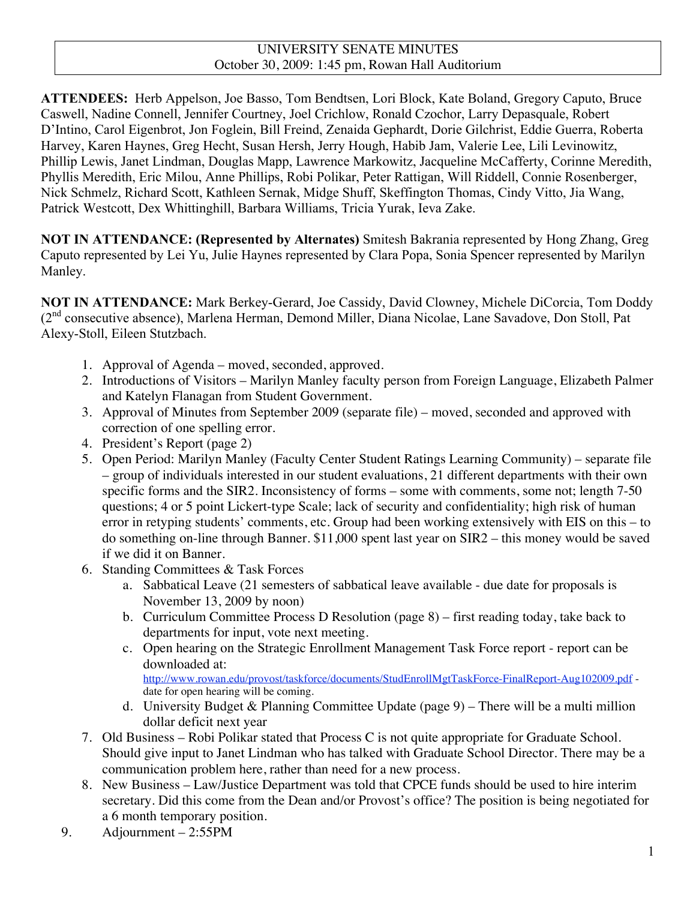### UNIVERSITY SENATE MINUTES October 30, 2009: 1:45 pm, Rowan Hall Auditorium

**ATTENDEES:** Herb Appelson, Joe Basso, Tom Bendtsen, Lori Block, Kate Boland, Gregory Caputo, Bruce Caswell, Nadine Connell, Jennifer Courtney, Joel Crichlow, Ronald Czochor, Larry Depasquale, Robert D'Intino, Carol Eigenbrot, Jon Foglein, Bill Freind, Zenaida Gephardt, Dorie Gilchrist, Eddie Guerra, Roberta Harvey, Karen Haynes, Greg Hecht, Susan Hersh, Jerry Hough, Habib Jam, Valerie Lee, Lili Levinowitz, Phillip Lewis, Janet Lindman, Douglas Mapp, Lawrence Markowitz, Jacqueline McCafferty, Corinne Meredith, Phyllis Meredith, Eric Milou, Anne Phillips, Robi Polikar, Peter Rattigan, Will Riddell, Connie Rosenberger, Nick Schmelz, Richard Scott, Kathleen Sernak, Midge Shuff, Skeffington Thomas, Cindy Vitto, Jia Wang, Patrick Westcott, Dex Whittinghill, Barbara Williams, Tricia Yurak, Ieva Zake.

**NOT IN ATTENDANCE: (Represented by Alternates)** Smitesh Bakrania represented by Hong Zhang, Greg Caputo represented by Lei Yu, Julie Haynes represented by Clara Popa, Sonia Spencer represented by Marilyn Manley.

**NOT IN ATTENDANCE:** Mark Berkey-Gerard, Joe Cassidy, David Clowney, Michele DiCorcia, Tom Doddy (2<sup>nd</sup> consecutive absence), Marlena Herman, Demond Miller, Diana Nicolae, Lane Savadove, Don Stoll, Pat Alexy-Stoll, Eileen Stutzbach.

- 1. Approval of Agenda moved, seconded, approved.
- 2. Introductions of Visitors Marilyn Manley faculty person from Foreign Language, Elizabeth Palmer and Katelyn Flanagan from Student Government.
- 3. Approval of Minutes from September 2009 (separate file) moved, seconded and approved with correction of one spelling error.
- 4. President's Report (page 2)
- 5. Open Period: Marilyn Manley (Faculty Center Student Ratings Learning Community) separate file – group of individuals interested in our student evaluations, 21 different departments with their own specific forms and the SIR2. Inconsistency of forms – some with comments, some not; length 7-50 questions; 4 or 5 point Lickert-type Scale; lack of security and confidentiality; high risk of human error in retyping students' comments, etc. Group had been working extensively with EIS on this – to do something on-line through Banner. \$11,000 spent last year on SIR2 – this money would be saved if we did it on Banner.
- 6. Standing Committees & Task Forces
	- a. Sabbatical Leave (21 semesters of sabbatical leave available due date for proposals is November 13, 2009 by noon)
	- b. Curriculum Committee Process D Resolution (page 8) first reading today, take back to departments for input, vote next meeting.
	- c. Open hearing on the Strategic Enrollment Management Task Force report report can be downloaded at: http://www.rowan.edu/provost/taskforce/documents/StudEnrollMgtTaskForce-FinalReport-Aug102009.pdf -

date for open hearing will be coming.

- d. University Budget & Planning Committee Update (page 9) There will be a multi million dollar deficit next year
- 7. Old Business Robi Polikar stated that Process C is not quite appropriate for Graduate School. Should give input to Janet Lindman who has talked with Graduate School Director. There may be a communication problem here, rather than need for a new process.
- 8. New Business Law/Justice Department was told that CPCE funds should be used to hire interim secretary. Did this come from the Dean and/or Provost's office? The position is being negotiated for a 6 month temporary position.
- 9. Adjournment 2:55PM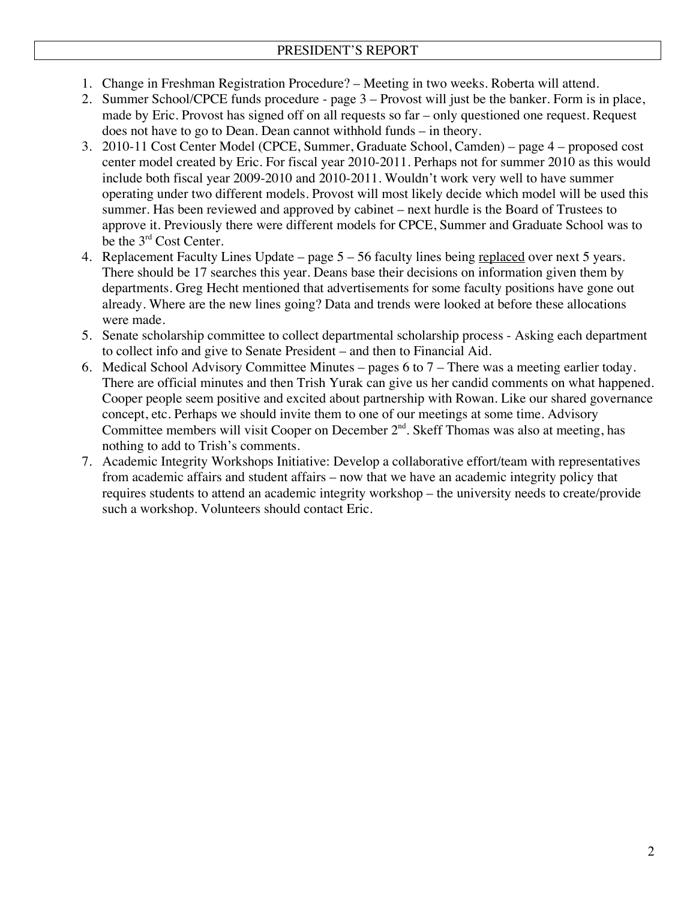- 1. Change in Freshman Registration Procedure? Meeting in two weeks. Roberta will attend.
- 2. Summer School/CPCE funds procedure page 3 Provost will just be the banker. Form is in place, made by Eric. Provost has signed off on all requests so far – only questioned one request. Request does not have to go to Dean. Dean cannot withhold funds – in theory.
- 3. 2010-11 Cost Center Model (CPCE, Summer, Graduate School, Camden) page 4 proposed cost center model created by Eric. For fiscal year 2010-2011. Perhaps not for summer 2010 as this would include both fiscal year 2009-2010 and 2010-2011. Wouldn't work very well to have summer operating under two different models. Provost will most likely decide which model will be used this summer. Has been reviewed and approved by cabinet – next hurdle is the Board of Trustees to approve it. Previously there were different models for CPCE, Summer and Graduate School was to be the 3<sup>rd</sup> Cost Center.
- 4. Replacement Faculty Lines Update page 5 56 faculty lines being replaced over next 5 years. There should be 17 searches this year. Deans base their decisions on information given them by departments. Greg Hecht mentioned that advertisements for some faculty positions have gone out already. Where are the new lines going? Data and trends were looked at before these allocations were made.
- 5. Senate scholarship committee to collect departmental scholarship process Asking each department to collect info and give to Senate President – and then to Financial Aid.
- 6. Medical School Advisory Committee Minutes pages 6 to 7 There was a meeting earlier today. There are official minutes and then Trish Yurak can give us her candid comments on what happened. Cooper people seem positive and excited about partnership with Rowan. Like our shared governance concept, etc. Perhaps we should invite them to one of our meetings at some time. Advisory Committee members will visit Cooper on December  $2<sup>nd</sup>$ . Skeff Thomas was also at meeting, has nothing to add to Trish's comments.
- 7. Academic Integrity Workshops Initiative: Develop a collaborative effort/team with representatives from academic affairs and student affairs – now that we have an academic integrity policy that requires students to attend an academic integrity workshop – the university needs to create/provide such a workshop. Volunteers should contact Eric.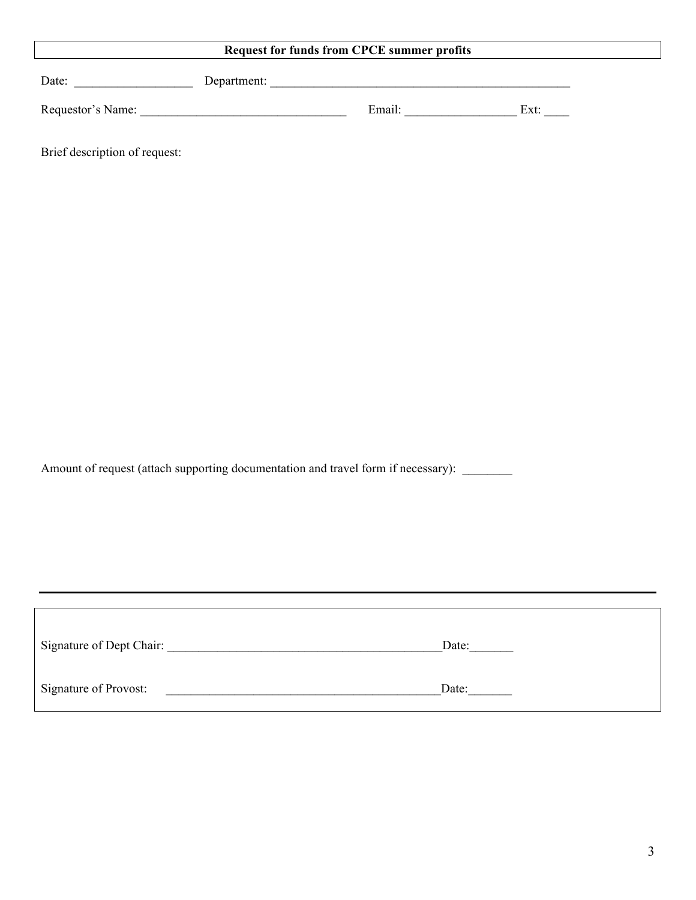# **Request for funds from CPCE summer profits**

| Date:             | Department: |        |      |
|-------------------|-------------|--------|------|
| Requestor's Name: |             | Email: | Ext: |

Brief description of request:

Amount of request (attach supporting documentation and travel form if necessary): \_\_\_\_\_\_

| Signature of Dept Chair: | Date: |
|--------------------------|-------|
| Signature of Provost:    | Date: |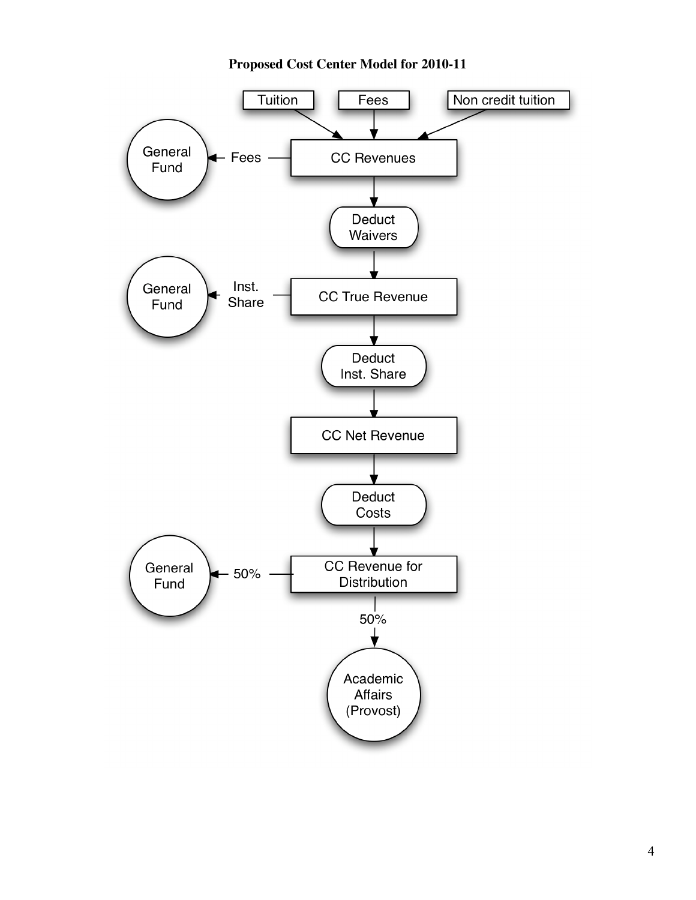# **Proposed Cost Center Model for 2010-11**

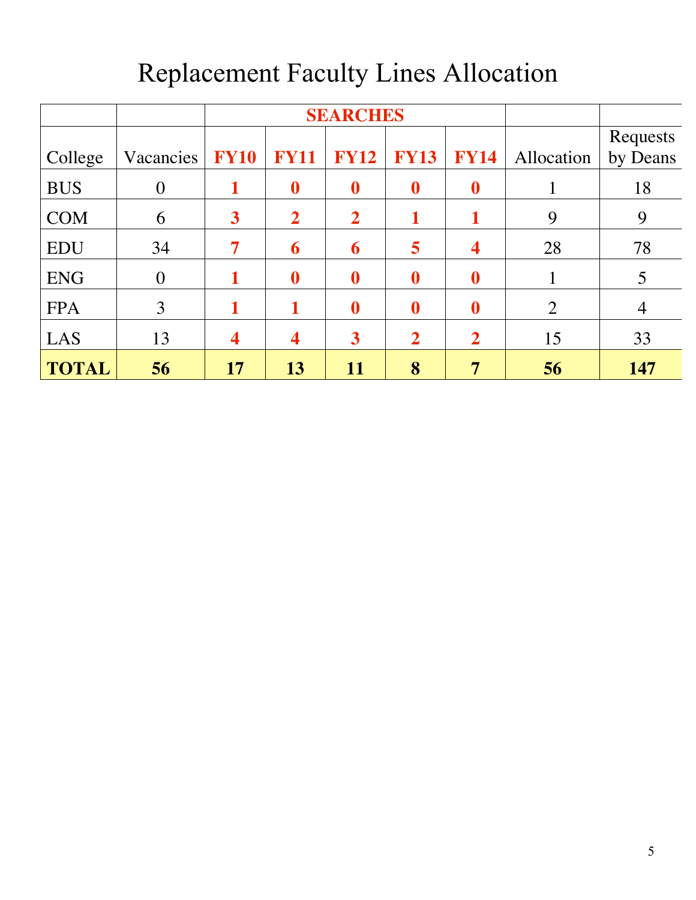|              |                | <b>SEARCHES</b>         |                  |                         |                  |                         |                |                |
|--------------|----------------|-------------------------|------------------|-------------------------|------------------|-------------------------|----------------|----------------|
|              |                |                         |                  |                         |                  |                         |                | Requests       |
| College      | Vacancies      | <b>FY10</b>             | <b>FY11</b>      | <b>FY12</b>             | <b>FY13</b>      | <b>FY14</b>             | Allocation     | by Deans       |
| <b>BUS</b>   | $\overline{0}$ | 1                       | $\boldsymbol{0}$ | $\boldsymbol{0}$        | $\boldsymbol{0}$ | $\boldsymbol{0}$        |                | 18             |
| <b>COM</b>   | 6              | $\overline{\mathbf{3}}$ | $\overline{2}$   | $\overline{2}$          | 1                | 1                       | 9              | 9              |
| <b>EDU</b>   | 34             | $\overline{7}$          | 6                | 6                       | 5                | $\overline{\mathbf{4}}$ | 28             | 78             |
| <b>ENG</b>   | $\overline{0}$ | 1                       | $\boldsymbol{0}$ | $\boldsymbol{0}$        | $\boldsymbol{0}$ | $\boldsymbol{0}$        |                | 5              |
| <b>FPA</b>   | 3              | 1                       | 1                | $\boldsymbol{0}$        | $\boldsymbol{0}$ | $\boldsymbol{0}$        | $\overline{2}$ | $\overline{4}$ |
| LAS          | 13             | $\overline{\mathbf{4}}$ | 4                | $\overline{\mathbf{3}}$ | $\overline{2}$   | $\overline{2}$          | 15             | 33             |
| <b>TOTAL</b> | 56             | 17                      | 13               | 11                      | 8                | 7                       | 56             | 147            |

# Replacement Faculty Lines Allocation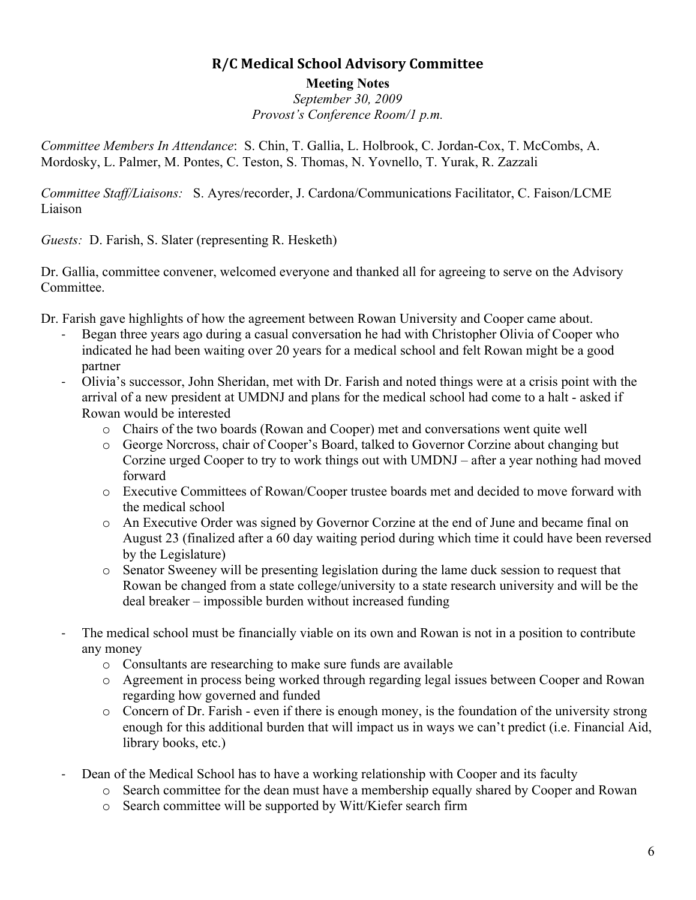# **R/C
Medical
School
Advisory
Committee**

**Meeting Notes** *September 30, 2009 Provost's Conference Room/1 p.m.*

*Committee Members In Attendance*: S. Chin, T. Gallia, L. Holbrook, C. Jordan-Cox, T. McCombs, A. Mordosky, L. Palmer, M. Pontes, C. Teston, S. Thomas, N. Yovnello, T. Yurak, R. Zazzali

*Committee Staff/Liaisons:* S. Ayres/recorder, J. Cardona/Communications Facilitator, C. Faison/LCME Liaison

*Guests:* D. Farish, S. Slater (representing R. Hesketh)

Dr. Gallia, committee convener, welcomed everyone and thanked all for agreeing to serve on the Advisory Committee.

- Dr. Farish gave highlights of how the agreement between Rowan University and Cooper came about.
	- Began three years ago during a casual conversation he had with Christopher Olivia of Cooper who indicated he had been waiting over 20 years for a medical school and felt Rowan might be a good partner
	- ‐ Olivia's successor, John Sheridan, met with Dr. Farish and noted things were at a crisis point with the arrival of a new president at UMDNJ and plans for the medical school had come to a halt - asked if Rowan would be interested
		- o Chairs of the two boards (Rowan and Cooper) met and conversations went quite well
		- o George Norcross, chair of Cooper's Board, talked to Governor Corzine about changing but Corzine urged Cooper to try to work things out with UMDNJ – after a year nothing had moved forward
		- o Executive Committees of Rowan/Cooper trustee boards met and decided to move forward with the medical school
		- o An Executive Order was signed by Governor Corzine at the end of June and became final on August 23 (finalized after a 60 day waiting period during which time it could have been reversed by the Legislature)
		- o Senator Sweeney will be presenting legislation during the lame duck session to request that Rowan be changed from a state college/university to a state research university and will be the deal breaker – impossible burden without increased funding
	- The medical school must be financially viable on its own and Rowan is not in a position to contribute any money
		- o Consultants are researching to make sure funds are available
		- o Agreement in process being worked through regarding legal issues between Cooper and Rowan regarding how governed and funded
		- $\circ$  Concern of Dr. Farish even if there is enough money, is the foundation of the university strong enough for this additional burden that will impact us in ways we can't predict (i.e. Financial Aid, library books, etc.)
	- Dean of the Medical School has to have a working relationship with Cooper and its faculty
		- o Search committee for the dean must have a membership equally shared by Cooper and Rowan
		- o Search committee will be supported by Witt/Kiefer search firm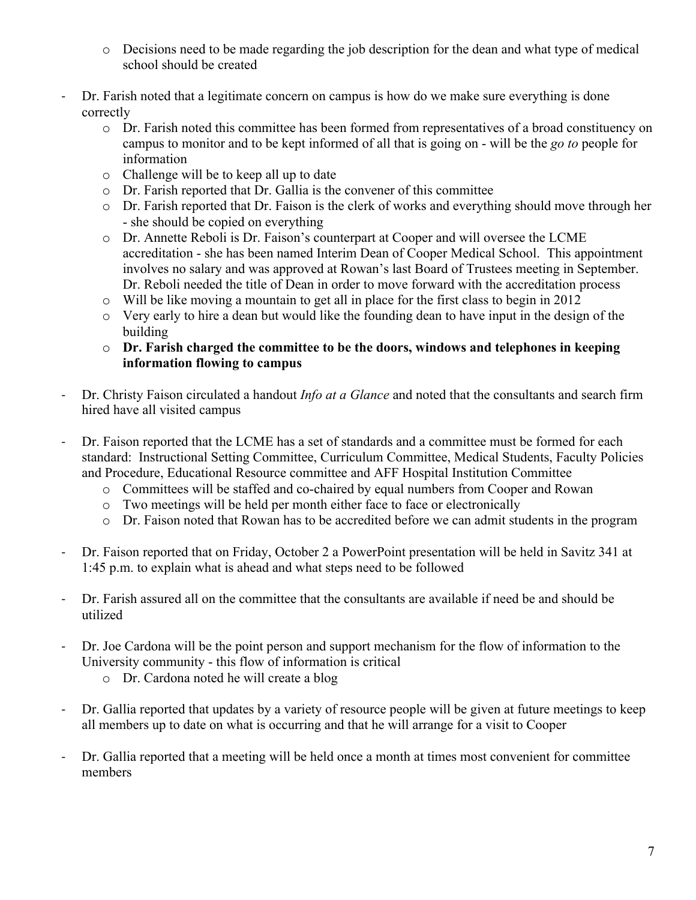- o Decisions need to be made regarding the job description for the dean and what type of medical school should be created
- ‐ Dr. Farish noted that a legitimate concern on campus is how do we make sure everything is done correctly
	- o Dr. Farish noted this committee has been formed from representatives of a broad constituency on campus to monitor and to be kept informed of all that is going on - will be the *go to* people for information
	- o Challenge will be to keep all up to date
	- o Dr. Farish reported that Dr. Gallia is the convener of this committee
	- o Dr. Farish reported that Dr. Faison is the clerk of works and everything should move through her - she should be copied on everything
	- o Dr. Annette Reboli is Dr. Faison's counterpart at Cooper and will oversee the LCME accreditation - she has been named Interim Dean of Cooper Medical School. This appointment involves no salary and was approved at Rowan's last Board of Trustees meeting in September. Dr. Reboli needed the title of Dean in order to move forward with the accreditation process
	- o Will be like moving a mountain to get all in place for the first class to begin in 2012
	- o Very early to hire a dean but would like the founding dean to have input in the design of the building
	- o **Dr. Farish charged the committee to be the doors, windows and telephones in keeping information flowing to campus**
- ‐ Dr. Christy Faison circulated a handout *Info at a Glance* and noted that the consultants and search firm hired have all visited campus
- ‐ Dr. Faison reported that the LCME has a set of standards and a committee must be formed for each standard: Instructional Setting Committee, Curriculum Committee, Medical Students, Faculty Policies and Procedure, Educational Resource committee and AFF Hospital Institution Committee
	- o Committees will be staffed and co-chaired by equal numbers from Cooper and Rowan
	- o Two meetings will be held per month either face to face or electronically
	- o Dr. Faison noted that Rowan has to be accredited before we can admit students in the program
- ‐ Dr. Faison reported that on Friday, October 2 a PowerPoint presentation will be held in Savitz 341 at 1:45 p.m. to explain what is ahead and what steps need to be followed
- ‐ Dr. Farish assured all on the committee that the consultants are available if need be and should be utilized
- ‐ Dr. Joe Cardona will be the point person and support mechanism for the flow of information to the University community - this flow of information is critical
	- o Dr. Cardona noted he will create a blog
- ‐ Dr. Gallia reported that updates by a variety of resource people will be given at future meetings to keep all members up to date on what is occurring and that he will arrange for a visit to Cooper
- ‐ Dr. Gallia reported that a meeting will be held once a month at times most convenient for committee members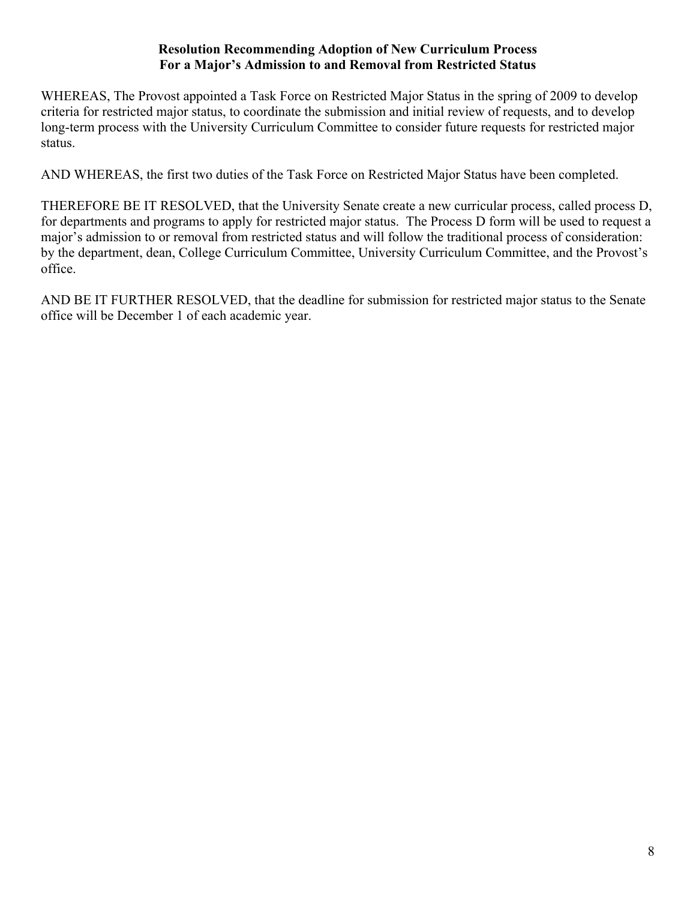### **Resolution Recommending Adoption of New Curriculum Process For a Major's Admission to and Removal from Restricted Status**

WHEREAS, The Provost appointed a Task Force on Restricted Major Status in the spring of 2009 to develop criteria for restricted major status, to coordinate the submission and initial review of requests, and to develop long-term process with the University Curriculum Committee to consider future requests for restricted major status.

AND WHEREAS, the first two duties of the Task Force on Restricted Major Status have been completed.

THEREFORE BE IT RESOLVED, that the University Senate create a new curricular process, called process D, for departments and programs to apply for restricted major status. The Process D form will be used to request a major's admission to or removal from restricted status and will follow the traditional process of consideration: by the department, dean, College Curriculum Committee, University Curriculum Committee, and the Provost's office.

AND BE IT FURTHER RESOLVED, that the deadline for submission for restricted major status to the Senate office will be December 1 of each academic year.